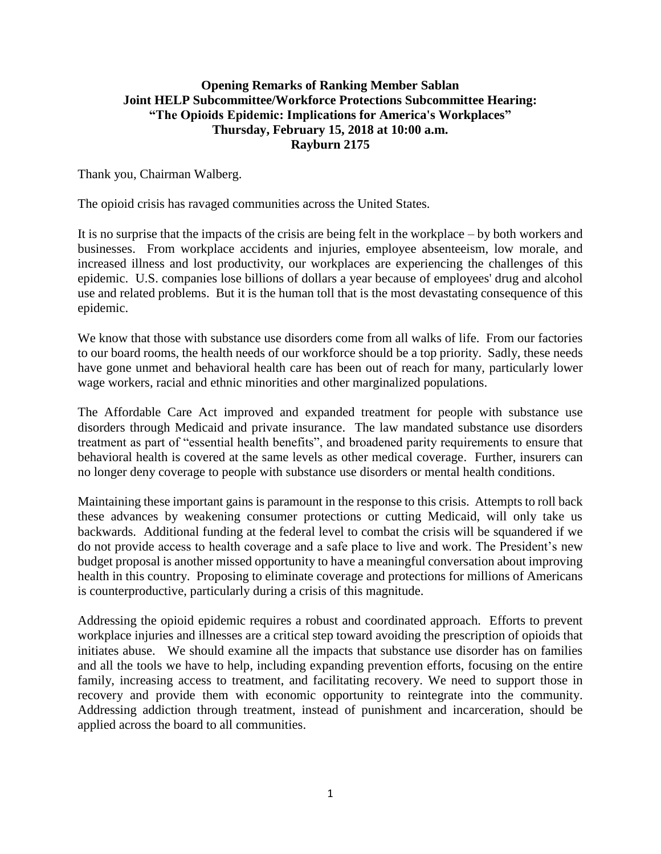## **Opening Remarks of Ranking Member Sablan Joint HELP Subcommittee/Workforce Protections Subcommittee Hearing: "The Opioids Epidemic: Implications for America's Workplaces" Thursday, February 15, 2018 at 10:00 a.m. Rayburn 2175**

Thank you, Chairman Walberg.

The opioid crisis has ravaged communities across the United States.

It is no surprise that the impacts of the crisis are being felt in the workplace – by both workers and businesses. From workplace accidents and injuries, employee absenteeism, low morale, and increased illness and lost productivity, our workplaces are experiencing the challenges of this epidemic. U.S. companies lose billions of dollars a year because of employees' drug and alcohol use and related problems. But it is the human toll that is the most devastating consequence of this epidemic.

We know that those with substance use disorders come from all walks of life. From our factories to our board rooms, the health needs of our workforce should be a top priority. Sadly, these needs have gone unmet and behavioral health care has been out of reach for many, particularly lower wage workers, racial and ethnic minorities and other marginalized populations.

The Affordable Care Act improved and expanded treatment for people with substance use disorders through Medicaid and private insurance. The law mandated substance use disorders treatment as part of "essential health benefits", and broadened parity requirements to ensure that behavioral health is covered at the same levels as other medical coverage. Further, insurers can no longer deny coverage to people with substance use disorders or mental health conditions.

Maintaining these important gains is paramount in the response to this crisis. Attempts to roll back these advances by weakening consumer protections or cutting Medicaid, will only take us backwards. Additional funding at the federal level to combat the crisis will be squandered if we do not provide access to health coverage and a safe place to live and work. The President's new budget proposal is another missed opportunity to have a meaningful conversation about improving health in this country. Proposing to eliminate coverage and protections for millions of Americans is counterproductive, particularly during a crisis of this magnitude.

Addressing the opioid epidemic requires a robust and coordinated approach. Efforts to prevent workplace injuries and illnesses are a critical step toward avoiding the prescription of opioids that initiates abuse. We should examine all the impacts that substance use disorder has on families and all the tools we have to help, including expanding prevention efforts, focusing on the entire family, increasing access to treatment, and facilitating recovery. We need to support those in recovery and provide them with economic opportunity to reintegrate into the community. Addressing addiction through treatment, instead of punishment and incarceration, should be applied across the board to all communities.